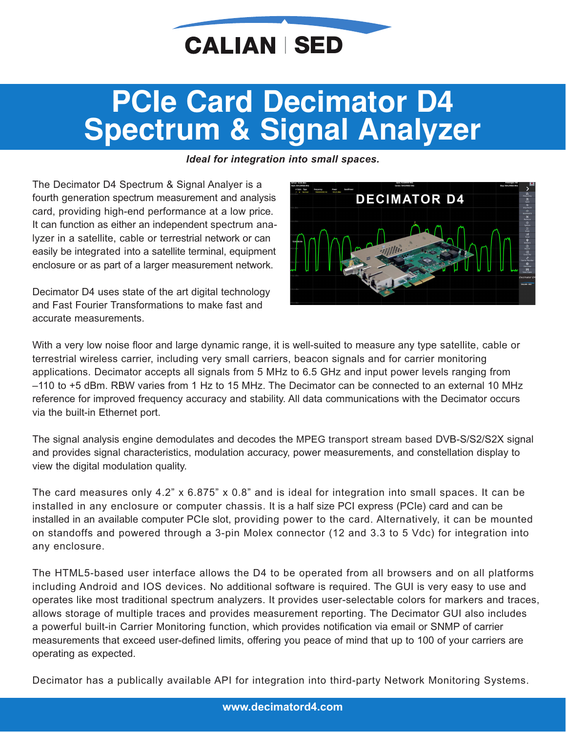

## **PCIe Card Decimator D4 Spectrum & Signal Analyzer**

#### *Ideal for integration into small spaces.*

The Decimator D4 Spectrum & Signal Analyer is a fourth generation spectrum measurement and analysis card, providing high-end performance at a low price. It can function as either an independent spectrum analyzer in a satellite, cable or terrestrial network or can easily be integrated into a satellite terminal, equipment enclosure or as part of a larger measurement network.

Decimator D4 uses state of the art digital technology and Fast Fourier Transformations to make fast and accurate measurements.



With a very low noise floor and large dynamic range, it is well-suited to measure any type satellite, cable or terrestrial wireless carrier, including very small carriers, beacon signals and for carrier monitoring applications. Decimator accepts all signals from 5 MHz to 6.5 GHz and input power levels ranging from –110 to +5 dBm. RBW varies from 1 Hz to 15 MHz. The Decimator can be connected to an external 10 MHz reference for improved frequency accuracy and stability. All data communications with the Decimator occurs via the built-in Ethernet port.

The signal analysis engine demodulates and decodes the MPEG transport stream based DVB-S/S2/S2X signal and provides signal characteristics, modulation accuracy, power measurements, and constellation display to view the digital modulation quality.

The card measures only 4.2" x 6.875" x 0.8" and is ideal for integration into small spaces. It can be installed in any enclosure or computer chassis. It is a half size PCI express (PCIe) card and can be installed in an available computer PCIe slot, providing power to the card. Alternatively, it can be mounted on standoffs and powered through a 3-pin Molex connector (12 and 3.3 to 5 Vdc) for integration into any enclosure.

The HTML5-based user interface allows the D4 to be operated from all browsers and on all platforms including Android and IOS devices. No additional software is required. The GUI is very easy to use and operates like most traditional spectrum analyzers. It provides user-selectable colors for markers and traces, allows storage of multiple traces and provides measurement reporting. The Decimator GUI also includes a powerful built-in Carrier Monitoring function, which provides notification via email or SNMP of carrier measurements that exceed user-defined limits, offering you peace of mind that up to 100 of your carriers are operating as expected.

Decimator has a publically available API for integration into third-party Network Monitoring Systems.

**[www.decimatord4.com](http://www.decimatord4.com/)**